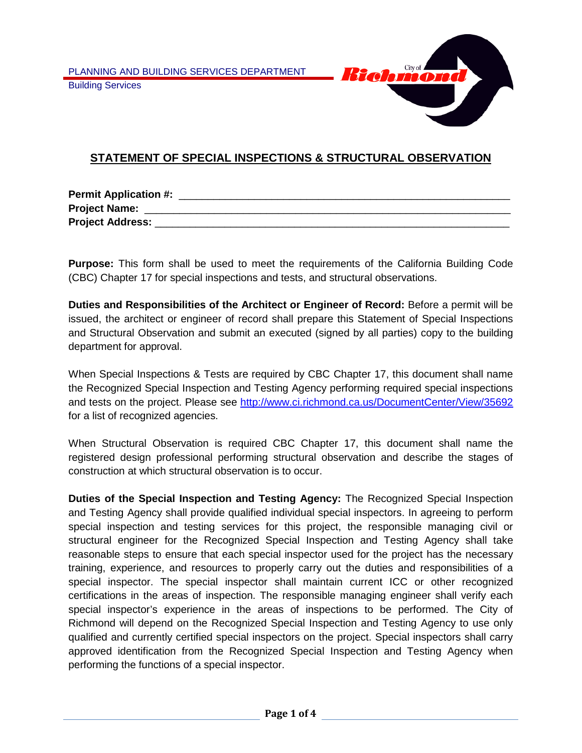

# **STATEMENT OF SPECIAL INSPECTIONS & STRUCTURAL OBSERVATION**

| <b>Permit Application #:</b> |  |
|------------------------------|--|
| <b>Project Name:</b>         |  |
| <b>Project Address:</b>      |  |

**Purpose:** This form shall be used to meet the requirements of the California Building Code (CBC) Chapter 17 for special inspections and tests, and structural observations.

**Duties and Responsibilities of the Architect or Engineer of Record:** Before a permit will be issued, the architect or engineer of record shall prepare this Statement of Special Inspections and Structural Observation and submit an executed (signed by all parties) copy to the building department for approval.

When Special Inspections & Tests are required by CBC Chapter 17, this document shall name the Recognized Special Inspection and Testing Agency performing required special inspections and tests on the project. Please see<http://www.ci.richmond.ca.us/DocumentCenter/View/35692> for a list of recognized agencies.

When Structural Observation is required CBC Chapter 17, this document shall name the registered design professional performing structural observation and describe the stages of construction at which structural observation is to occur.

**Duties of the Special Inspection and Testing Agency:** The Recognized Special Inspection and Testing Agency shall provide qualified individual special inspectors. In agreeing to perform special inspection and testing services for this project, the responsible managing civil or structural engineer for the Recognized Special Inspection and Testing Agency shall take reasonable steps to ensure that each special inspector used for the project has the necessary training, experience, and resources to properly carry out the duties and responsibilities of a special inspector. The special inspector shall maintain current ICC or other recognized certifications in the areas of inspection. The responsible managing engineer shall verify each special inspector's experience in the areas of inspections to be performed. The City of Richmond will depend on the Recognized Special Inspection and Testing Agency to use only qualified and currently certified special inspectors on the project. Special inspectors shall carry approved identification from the Recognized Special Inspection and Testing Agency when performing the functions of a special inspector.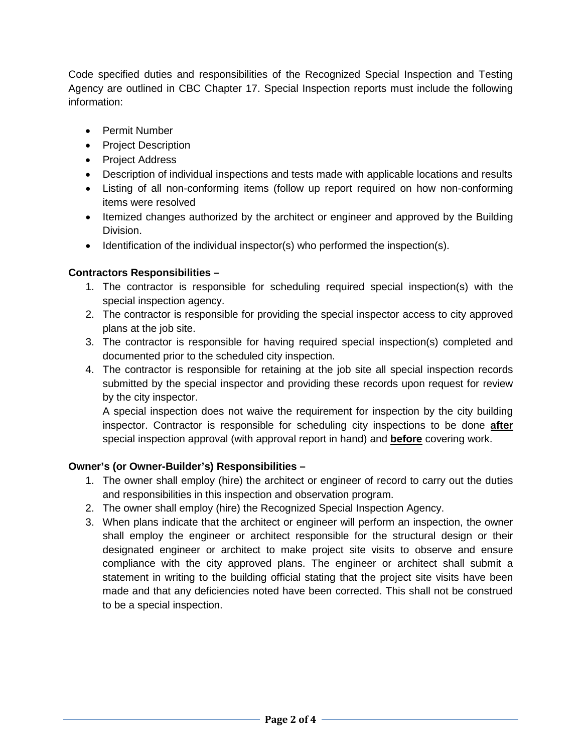Code specified duties and responsibilities of the Recognized Special Inspection and Testing Agency are outlined in CBC Chapter 17. Special Inspection reports must include the following information:

- Permit Number
- Project Description
- Project Address
- Description of individual inspections and tests made with applicable locations and results
- Listing of all non-conforming items (follow up report required on how non-conforming items were resolved
- Itemized changes authorized by the architect or engineer and approved by the Building Division.
- Identification of the individual inspector(s) who performed the inspection(s).

### **Contractors Responsibilities –**

- 1. The contractor is responsible for scheduling required special inspection(s) with the special inspection agency.
- 2. The contractor is responsible for providing the special inspector access to city approved plans at the job site.
- 3. The contractor is responsible for having required special inspection(s) completed and documented prior to the scheduled city inspection.
- 4. The contractor is responsible for retaining at the job site all special inspection records submitted by the special inspector and providing these records upon request for review by the city inspector.

A special inspection does not waive the requirement for inspection by the city building inspector. Contractor is responsible for scheduling city inspections to be done **after** special inspection approval (with approval report in hand) and **before** covering work.

### **Owner's (or Owner-Builder's) Responsibilities –**

- 1. The owner shall employ (hire) the architect or engineer of record to carry out the duties and responsibilities in this inspection and observation program.
- 2. The owner shall employ (hire) the Recognized Special Inspection Agency.
- 3. When plans indicate that the architect or engineer will perform an inspection, the owner shall employ the engineer or architect responsible for the structural design or their designated engineer or architect to make project site visits to observe and ensure compliance with the city approved plans. The engineer or architect shall submit a statement in writing to the building official stating that the project site visits have been made and that any deficiencies noted have been corrected. This shall not be construed to be a special inspection.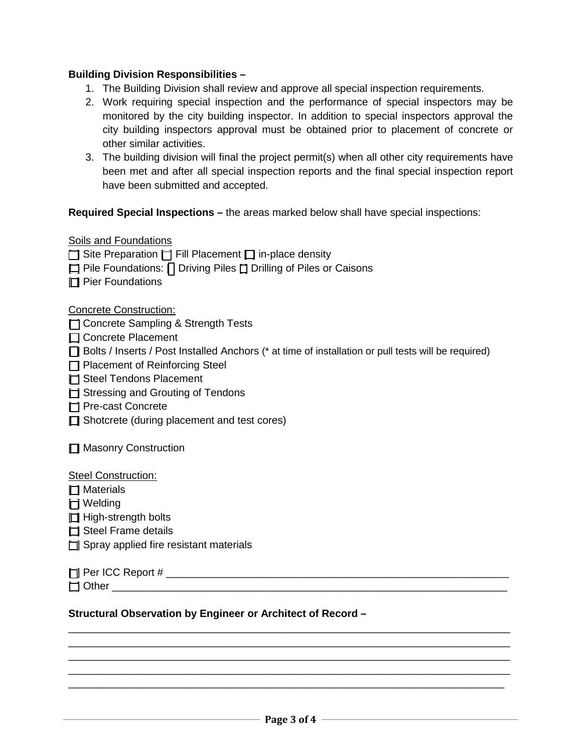### **Building Division Responsibilities –**

- 1. The Building Division shall review and approve all special inspection requirements.
- 2. Work requiring special inspection and the performance of special inspectors may be monitored by the city building inspector. In addition to special inspectors approval the city building inspectors approval must be obtained prior to placement of concrete or other similar activities.
- 3. The building division will final the project permit(s) when all other city requirements have been met and after all special inspection reports and the final special inspection report have been submitted and accepted.

### **Required Special Inspections –** the areas marked below shall have special inspections:

### Soils and Foundations

 $\Box$  Site Preparation  $\Box$  Fill Placement  $\Box$  in-place density

- $\Box$  Pile Foundations:  $\Box$  Driving Piles  $\Box$  Drilling of Piles or Caisons
- $\Box$  Pier Foundations

Concrete Construction:

- **T** Concrete Sampling & Strength Tests
- □ Concrete Placement
- [ ] Bolts / Inserts / Post Installed Anchors (\* at time of installation or pull tests will be required)
- $\Box$  Placement of Reinforcing Steel
- $\Box$  Steel Tendons Placement
- $\Box$  Stressing and Grouting of Tendons
- [ ] Pre-cast Concrete
- $\Box$  Shotcrete (during placement and test cores)

**□ Masonry Construction** 

#### Steel Construction:

 $\Box$  Materials

 $\Box$  Welding

 $\Box$  High-strength bolts

- $\Box$  Steel Frame details
- $\Box$  Spray applied fire resistant materials

[ ] Per ICC Report # \_\_\_\_\_\_\_\_\_\_\_\_\_\_\_\_\_\_\_\_\_\_\_\_\_\_\_\_\_\_\_\_\_\_\_\_\_\_\_\_\_\_\_\_\_\_\_\_\_\_\_\_\_\_\_\_\_\_\_

 $\Box$  Other  $\Box$ 

### **Structural Observation by Engineer or Architect of Record –**

\_\_\_\_\_\_\_\_\_\_\_\_\_\_\_\_\_\_\_\_\_\_\_\_\_\_\_\_\_\_\_\_\_\_\_\_\_\_\_\_\_\_\_\_\_\_\_\_\_\_\_\_\_\_\_\_\_\_\_\_\_\_\_\_\_\_\_\_\_\_\_\_\_\_\_\_ \_\_\_\_\_\_\_\_\_\_\_\_\_\_\_\_\_\_\_\_\_\_\_\_\_\_\_\_\_\_\_\_\_\_\_\_\_\_\_\_\_\_\_\_\_\_\_\_\_\_\_\_\_\_\_\_\_\_\_\_\_\_\_\_\_\_\_\_\_\_\_\_\_\_\_\_ \_\_\_\_\_\_\_\_\_\_\_\_\_\_\_\_\_\_\_\_\_\_\_\_\_\_\_\_\_\_\_\_\_\_\_\_\_\_\_\_\_\_\_\_\_\_\_\_\_\_\_\_\_\_\_\_\_\_\_\_\_\_\_\_\_\_\_\_\_\_\_\_\_\_\_\_ \_\_\_\_\_\_\_\_\_\_\_\_\_\_\_\_\_\_\_\_\_\_\_\_\_\_\_\_\_\_\_\_\_\_\_\_\_\_\_\_\_\_\_\_\_\_\_\_\_\_\_\_\_\_\_\_\_\_\_\_\_\_\_\_\_\_\_\_\_\_\_\_\_\_\_\_ \_\_\_\_\_\_\_\_\_\_\_\_\_\_\_\_\_\_\_\_\_\_\_\_\_\_\_\_\_\_\_\_\_\_\_\_\_\_\_\_\_\_\_\_\_\_\_\_\_\_\_\_\_\_\_\_\_\_\_\_\_\_\_\_\_\_\_\_\_\_\_\_\_\_\_